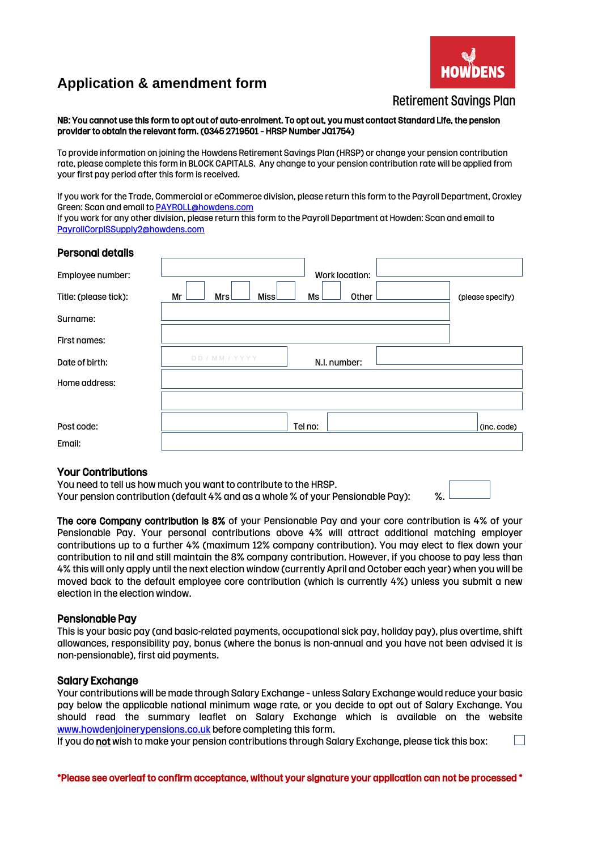# **Application & amendment form**



## Retirement Savings Plan

NB: You cannot use this form to opt out of auto-enrolment. To opt out, you must contact Standard Life, the pension provider to obtain the relevant form. (0345 2719501 – HRSP Number JQ1754)

To provide information on joining the Howdens Retirement Savings Plan (HRSP) or change your pension contribution rate, please complete this form in BLOCK CAPITALS. Any change to your pension contribution rate will be applied from your first pay period after this form is received.

If you work for the Trade, Commercial or eCommerce division, please return this form to the Payroll Department, Croxley Green: Scan and email t[o PAYROLL@howdens.com](mailto:PAYROLL@howdens.com)

If you work for any other division, please return this form to the Payroll Department at Howden: Scan and email to [PayrollCorpISSupply2@howdens.com](mailto:PayrollCorpISSupply2@howdens.com)

| <b>Personal details</b> |                                                        |
|-------------------------|--------------------------------------------------------|
| Employee number:        | Work location:                                         |
| Title: (please tick):   | Mr<br>Mrsl<br>Missl<br>Other<br>Ms<br>(please specify) |
| Surname:                |                                                        |
| <b>First names:</b>     |                                                        |
| Date of birth:          | DD / MM / YYYY<br>N.I. number:                         |
| Home address:           |                                                        |
|                         |                                                        |
| Post code:              | Tel no:<br>(inc. code)                                 |
| Email:                  |                                                        |

#### Your Contributions

You need to tell us how much you want to contribute to the HRSP. Your pension contribution (default 4% and as a whole % of your Pensionable Pay):  $\%$ .

 $\mathbb{R}^n$ 

The core Company contribution is 8% of your Pensionable Pay and your core contribution is 4% of your Pensionable Pay. Your personal contributions above 4% will attract additional matching employer contributions up to a further 4% (maximum 12% company contribution). You may elect to flex down your contribution to nil and still maintain the 8% company contribution. However, if you choose to pay less than 4% this will only apply until the next election window (currently April and October each year) when you will be moved back to the default employee core contribution (which is currently 4%) unless you submit a new election in the election window.

#### Pensionable Pay

This is your basic pay (and basic-related payments, occupational sick pay, holiday pay), plus overtime, shift allowances, responsibility pay, bonus (where the bonus is non-annual and you have not been advised it is non-pensionable), first aid payments.

#### Salary Exchange

Your contributions will be made through Salary Exchange – unless Salary Exchange would reduce your basic pay below the applicable national minimum wage rate, or you decide to opt out of Salary Exchange. You should read the summary leaflet on Salary Exchange which is available on the website [www.howdenjoinerypensions.co.uk](http://www.howdenjoinerypensions.co.uk/) before completing this form.

If you do not wish to make your pension contributions through Salary Exchange, please tick this box: